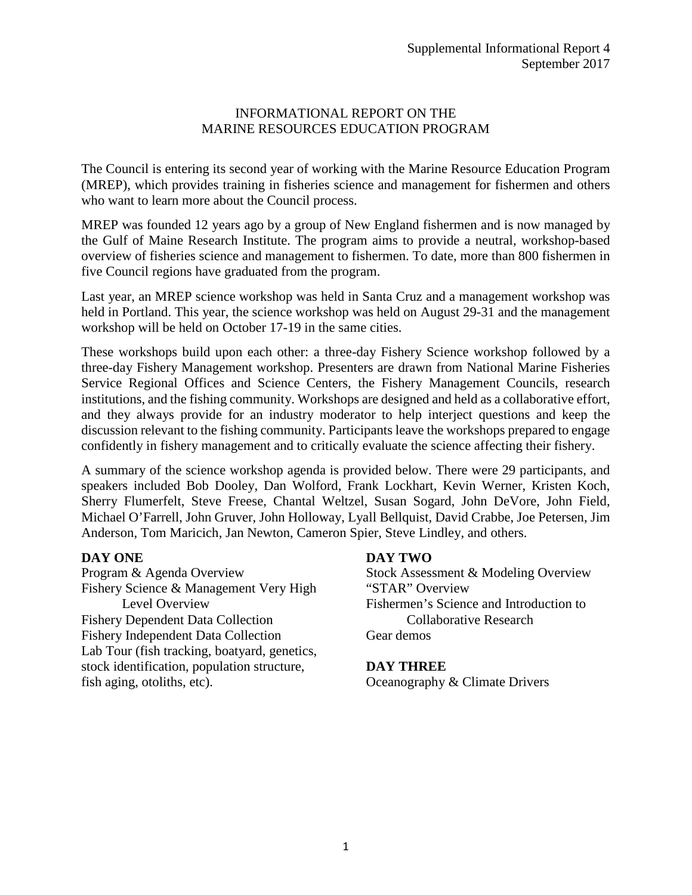## INFORMATIONAL REPORT ON THE MARINE RESOURCES EDUCATION PROGRAM

The Council is entering its second year of working with the Marine Resource Education Program (MREP), which provides training in fisheries science and management for fishermen and others who want to learn more about the Council process.

MREP was founded 12 years ago by a group of New England fishermen and is now managed by the Gulf of Maine Research Institute. The program aims to provide a neutral, workshop-based overview of fisheries science and management to fishermen. To date, more than 800 fishermen in five Council regions have graduated from the program.

Last year, an MREP science workshop was held in Santa Cruz and a management workshop was held in Portland. This year, the science workshop was held on August 29-31 and the management workshop will be held on October 17-19 in the same cities.

These workshops build upon each other: a three-day Fishery Science workshop followed by a three-day Fishery Management workshop. Presenters are drawn from National Marine Fisheries Service Regional Offices and Science Centers, the Fishery Management Councils, research institutions, and the fishing community. Workshops are designed and held as a collaborative effort, and they always provide for an industry moderator to help interject questions and keep the discussion relevant to the fishing community. Participants leave the workshops prepared to engage confidently in fishery management and to critically evaluate the science affecting their fishery.

A summary of the science workshop agenda is provided below. There were 29 participants, and speakers included Bob Dooley, Dan Wolford, Frank Lockhart, Kevin Werner, Kristen Koch, Sherry Flumerfelt, Steve Freese, Chantal Weltzel, Susan Sogard, John DeVore, John Field, Michael O'Farrell, John Gruver, John Holloway, Lyall Bellquist, David Crabbe, Joe Petersen, Jim Anderson, Tom Maricich, Jan Newton, Cameron Spier, Steve Lindley, and others.

## **DAY ONE**

Program & Agenda Overview Fishery Science & Management Very High Level Overview Fishery Dependent Data Collection Fishery Independent Data Collection Lab Tour (fish tracking, boatyard, genetics, stock identification, population structure, fish aging, otoliths, etc).

## **DAY TWO**

Stock Assessment & Modeling Overview "STAR" Overview Fishermen's Science and Introduction to Collaborative Research Gear demos

## **DAY THREE**

Oceanography & Climate Drivers